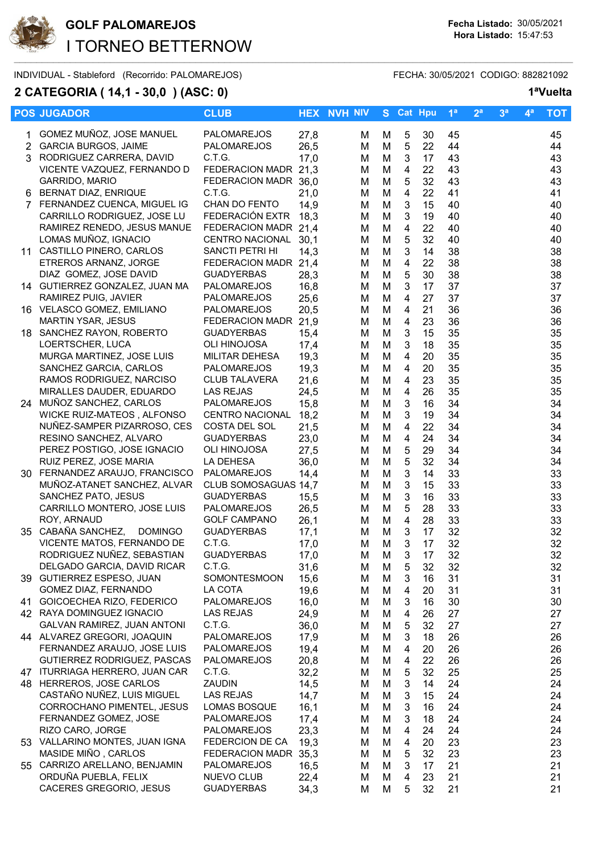

## **GOLF PALOMAREJOS Fecha Listado:** 30/05/2021 I TORNEO BETTERNOW

INDIVIDUAL - Stableford (Recorrido: PALOMAREJOS) FECHA: 30/05/2021 CODIGO: 882821092

## **2 CATEGORIA ( 14,1 - 30,0 ) (ASC: 0) 1ªVuelta**

|              | <b>POS JUGADOR</b>                                       | <b>CLUB</b>                               |              | <b>HEX NVH NIV</b> |        | S Cat Hpu                    |          | 1 <sup>a</sup> | 2 <sup>a</sup> | 3 <sup>a</sup> | $4^a$ | <b>TOT</b> |
|--------------|----------------------------------------------------------|-------------------------------------------|--------------|--------------------|--------|------------------------------|----------|----------------|----------------|----------------|-------|------------|
| 1.           | GOMEZ MUÑOZ, JOSE MANUEL                                 | PALOMAREJOS                               | 27,8         | M                  | M      | 5                            | 30       | 45             |                |                |       | 45         |
| $\mathbf{2}$ | <b>GARCIA BURGOS, JAIME</b>                              | <b>PALOMAREJOS</b>                        | 26,5         | М                  | M      | 5                            | 22       | 44             |                |                |       | 44         |
| 3            | RODRIGUEZ CARRERA, DAVID                                 | C.T.G.                                    | 17,0         | м                  | М      | 3                            | 17       | 43             |                |                |       | 43         |
|              | VICENTE VAZQUEZ, FERNANDO D                              | FEDERACION MADR 21,3                      |              | м                  | M      | 4                            | 22       | 43             |                |                |       | 43         |
|              | GARRIDO, MARIO                                           | FEDERACION MADR 36,0                      |              | м                  | M      | 5                            | 32       | 43             |                |                |       | 43         |
|              | BERNAT DIAZ, ENRIQUE                                     | C.T.G.                                    | 21,0         | м                  | M      | 4                            | 22       | 41             |                |                |       | 41         |
|              | 7 FERNANDEZ CUENCA, MIGUEL IG                            | CHAN DO FENTO                             | 14,9         | M                  | M      | 3                            | 15       | 40             |                |                |       | 40         |
|              | CARRILLO RODRIGUEZ, JOSE LU                              | FEDERACIÓN EXTR                           | 18,3         | M                  | M      | 3                            | 19       | 40             |                |                |       | 40         |
|              | RAMIREZ RENEDO, JESUS MANUE                              | FEDERACION MADR 21,4                      |              | M                  | M      | $\overline{\mathbf{4}}$      | 22       | 40             |                |                |       | 40         |
|              | LOMAS MUÑOZ, IGNACIO                                     | <b>CENTRO NACIONAL</b>                    | 30,1         | М                  | M      | $\mathbf 5$                  | 32       | 40             |                |                |       | 40         |
|              | 11 CASTILLO PINERO, CARLOS                               | SANCTI PETRI HI                           | 14,3         | M                  | M      | $\mathbf{3}$                 | 14       | 38             |                |                |       | 38         |
|              | ETREROS ARNANZ, JORGE<br>DIAZ GOMEZ, JOSE DAVID          | FEDERACION MADR 21,4<br><b>GUADYERBAS</b> |              | M                  | M      | $\overline{\mathbf{4}}$<br>5 | 22<br>30 | 38<br>38       |                |                |       | 38         |
|              | 14 GUTIERREZ GONZALEZ, JUAN MA                           | PALOMAREJOS                               | 28,3<br>16,8 | м<br>М             | M<br>M | 3                            | 17       | 37             |                |                |       | 38<br>37   |
|              | RAMIREZ PUIG, JAVIER                                     | PALOMAREJOS                               | 25,6         | М                  | M      | 4                            | 27       | 37             |                |                |       | 37         |
|              | 16 VELASCO GOMEZ, EMILIANO                               | <b>PALOMAREJOS</b>                        | 20,5         | М                  | M      | 4                            | 21       | 36             |                |                |       | 36         |
|              | <b>MARTIN YSAR, JESUS</b>                                | FEDERACION MADR                           | 21,9         | M                  | M      | 4                            | 23       | 36             |                |                |       | 36         |
|              | 18 SANCHEZ RAYON, ROBERTO                                | <b>GUADYERBAS</b>                         | 15,4         | M                  | M      | 3                            | 15       | 35             |                |                |       | 35         |
|              | LOERTSCHER, LUCA                                         | OLI HINOJOSA                              | 17,4         | м                  | M      | 3                            | 18       | 35             |                |                |       | 35         |
|              | MURGA MARTINEZ, JOSE LUIS                                | MILITAR DEHESA                            | 19,3         | M                  | M      | 4                            | 20       | 35             |                |                |       | 35         |
|              | SANCHEZ GARCIA, CARLOS                                   | <b>PALOMAREJOS</b>                        | 19,3         | M                  | M      | $\overline{4}$               | 20       | 35             |                |                |       | 35         |
|              | RAMOS RODRIGUEZ, NARCISO                                 | <b>CLUB TALAVERA</b>                      | 21,6         | M                  | M      | 4                            | 23       | 35             |                |                |       | 35         |
|              | MIRALLES DAUDER, EDUARDO                                 | <b>LAS REJAS</b>                          | 24,5         | M                  | M      | $\overline{\mathbf{4}}$      | 26       | 35             |                |                |       | 35         |
|              | 24 MUÑOZ SANCHEZ, CARLOS                                 | PALOMAREJOS                               | 15,8         | M                  | M      | $\mathbf{3}$                 | 16       | 34             |                |                |       | 34         |
|              | WICKE RUIZ-MATEOS, ALFONSO                               | <b>CENTRO NACIONAL</b>                    | 18,2         | м                  | M      | 3                            | 19       | 34             |                |                |       | 34         |
|              | NUÑEZ-SAMPER PIZARROSO, CES                              | COSTA DEL SOL                             | 21,5         | М                  | M      | 4                            | 22       | 34             |                |                |       | 34         |
|              | RESINO SANCHEZ, ALVARO                                   | <b>GUADYERBAS</b>                         | 23,0         | М                  | M      | 4                            | 24       | 34             |                |                |       | 34         |
|              | PEREZ POSTIGO, JOSE IGNACIO<br>RUIZ PEREZ, JOSE MARIA    | OLI HINOJOSA<br>LA DEHESA                 | 27,5<br>36,0 | М                  | M<br>M | 5<br>5                       | 29<br>32 | 34<br>34       |                |                |       | 34<br>34   |
|              | 30 FERNANDEZ ARAUJO, FRANCISCO                           | PALOMAREJOS                               | 14,4         | М<br>М             | M      | 3                            | 14       | 33             |                |                |       | 33         |
|              | MUÑOZ-ATANET SANCHEZ, ALVAR                              | CLUB SOMOSAGUAS 14,7                      |              | м                  | M      | 3                            | 15       | 33             |                |                |       | 33         |
|              | SANCHEZ PATO, JESUS                                      | <b>GUADYERBAS</b>                         | 15,5         | м                  | M      | 3                            | 16       | 33             |                |                |       | 33         |
|              | CARRILLO MONTERO, JOSE LUIS                              | <b>PALOMAREJOS</b>                        | 26,5         | М                  | M      | 5                            | 28       | 33             |                |                |       | 33         |
|              | ROY, ARNAUD                                              | <b>GOLF CAMPANO</b>                       | 26,1         | M                  | M      | $\overline{4}$               | 28       | 33             |                |                |       | 33         |
|              | 35 CABAÑA SANCHEZ,<br><b>DOMINGO</b>                     | <b>GUADYERBAS</b>                         | 17,1         | М                  | M      | $\mathbf{3}$                 | 17       | 32             |                |                |       | 32         |
|              | VICENTE MATOS, FERNANDO DE                               | C.T.G.                                    | 17,0         | M                  | M      | 3                            | 17       | 32             |                |                |       | 32         |
|              | RODRIGUEZ NUÑEZ, SEBASTIAN                               | <b>GUADYERBAS</b>                         | 17,0         | M                  | M      | $\mathfrak{S}$               | 17       | 32             |                |                |       | 32         |
|              | DELGADO GARCIA, DAVID RICAR                              | C.T.G.                                    | 31,6         | M                  | M      | 5                            | 32       | 32             |                |                |       | 32         |
|              | 39 GUTIERREZ ESPESO, JUAN                                | SOMONTESMOON                              | 15,6         | м                  | М      | 3                            | 16       | 31             |                |                |       | 31         |
|              | GOMEZ DIAZ, FERNANDO                                     | LA COTA                                   | 19,6         | м                  | M      | 4                            | 20       | 31             |                |                |       | 31         |
|              | 41 GOICOECHEA RIZO, FEDERICO                             | PALOMAREJOS<br><b>LAS REJAS</b>           | 16,0         | м                  | М      | 3                            | 16       | 30             |                |                |       | 30         |
|              | 42 RAYA DOMINGUEZ IGNACIO<br>GALVAN RAMIREZ, JUAN ANTONI | C.T.G.                                    | 24,9<br>36,0 | м<br>м             | M<br>M | 4<br>5                       | 26<br>32 | 27<br>27       |                |                |       | 27<br>27   |
|              | 44 ALVAREZ GREGORI, JOAQUIN                              | PALOMAREJOS                               | 17,9         | м                  | M      | 3                            | 18       | 26             |                |                |       | 26         |
|              | FERNANDEZ ARAUJO, JOSE LUIS                              | <b>PALOMAREJOS</b>                        | 19,4         | м                  | M      | 4                            | 20       | 26             |                |                |       | 26         |
|              | GUTIERREZ RODRIGUEZ, PASCAS                              | PALOMAREJOS                               | 20,8         | м                  | M      | 4                            | 22       | 26             |                |                |       | 26         |
|              | 47 ITURRIAGA HERRERO, JUAN CAR                           | C.T.G.                                    | 32,2         | м                  | M      | 5                            | 32       | 25             |                |                |       | 25         |
|              | 48 HERREROS, JOSE CARLOS                                 | ZAUDIN                                    | 14,5         | м                  | M      | 3                            | 14       | 24             |                |                |       | 24         |
|              | CASTAÑO NUÑEZ, LUIS MIGUEL                               | LAS REJAS                                 | 14,7         | M                  | M      | 3                            | 15       | 24             |                |                |       | 24         |
|              | CORROCHANO PIMENTEL, JESUS                               | LOMAS BOSQUE                              | 16,1         | M                  | M      | 3                            | 16       | 24             |                |                |       | 24         |
|              | FERNANDEZ GOMEZ, JOSE                                    | <b>PALOMAREJOS</b>                        | 17,4         | м                  | M      | 3                            | 18       | 24             |                |                |       | 24         |
|              | RIZO CARO, JORGE                                         | PALOMAREJOS                               | 23,3         | м                  | M      | 4                            | 24       | 24             |                |                |       | 24         |
|              | 53 VALLARINO MONTES, JUAN IGNA                           | FEDERCION DE CA                           | 19,3         | м                  | M      | 4                            | 20       | 23             |                |                |       | 23         |
|              | MASIDE MIÑO, CARLOS                                      | FEDERACION MADR 35,3                      |              | м                  | M      | 5                            | 32       | 23             |                |                |       | 23         |
|              | 55 CARRIZO ARELLANO, BENJAMIN                            | PALOMAREJOS                               | 16,5         | м                  | M      | 3                            | 17       | 21             |                |                |       | 21         |
|              | ORDUÑA PUEBLA, FELIX<br>CACERES GREGORIO, JESUS          | NUEVO CLUB<br><b>GUADYERBAS</b>           | 22,4         | м<br>м             | M<br>M | 4<br>5                       | 23<br>32 | 21<br>21       |                |                |       | 21<br>21   |
|              |                                                          |                                           | 34,3         |                    |        |                              |          |                |                |                |       |            |